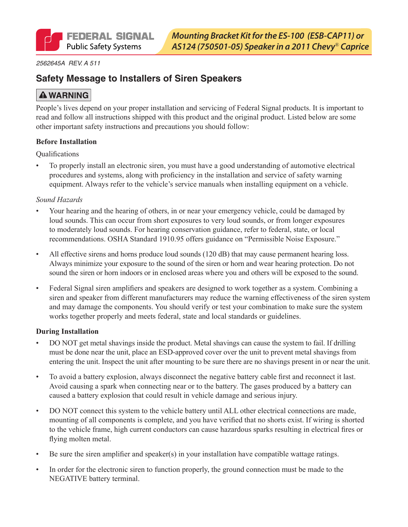

*2562645A REV. A 511*

## **Safety Message to Installers of Siren Speakers**

## **A WARNING**

People's lives depend on your proper installation and servicing of Federal Signal products. It is important to read and follow all instructions shipped with this product and the original product. Listed below are some other important safety instructions and precautions you should follow:

#### **Before Installation**

Qualifications

To properly install an electronic siren, you must have a good understanding of automotive electrical procedures and systems, along with proficiency in the installation and service of safety warning equipment. Always refer to the vehicle's service manuals when installing equipment on a vehicle.

#### *Sound Hazards*

- Your hearing and the hearing of others, in or near your emergency vehicle, could be damaged by loud sounds. This can occur from short exposures to very loud sounds, or from longer exposures to moderately loud sounds. For hearing conservation guidance, refer to federal, state, or local recommendations. OSHA Standard 1910.95 offers guidance on "Permissible Noise Exposure."
- All effective sirens and horns produce loud sounds (120 dB) that may cause permanent hearing loss. Always minimize your exposure to the sound of the siren or horn and wear hearing protection. Do not sound the siren or horn indoors or in enclosed areas where you and others will be exposed to the sound.
- • Federal Signal siren amplifiers and speakers are designed to work together as a system. Combining a siren and speaker from different manufacturers may reduce the warning effectiveness of the siren system and may damage the components. You should verify or test your combination to make sure the system works together properly and meets federal, state and local standards or guidelines.

#### **During Installation**

- DO NOT get metal shavings inside the product. Metal shavings can cause the system to fail. If drilling must be done near the unit, place an ESD-approved cover over the unit to prevent metal shavings from entering the unit. Inspect the unit after mounting to be sure there are no shavings present in or near the unit.
- • To avoid a battery explosion, always disconnect the negative battery cable first and reconnect it last. Avoid causing a spark when connecting near or to the battery. The gases produced by a battery can caused a battery explosion that could result in vehicle damage and serious injury.
- DO NOT connect this system to the vehicle battery until ALL other electrical connections are made, mounting of all components is complete, and you have verified that no shorts exist. If wiring is shorted to the vehicle frame, high current conductors can cause hazardous sparks resulting in electrical fires or flying molten metal.
- Be sure the siren amplifier and speaker(s) in your installation have compatible wattage ratings.
- In order for the electronic siren to function properly, the ground connection must be made to the NEGATIVE battery terminal.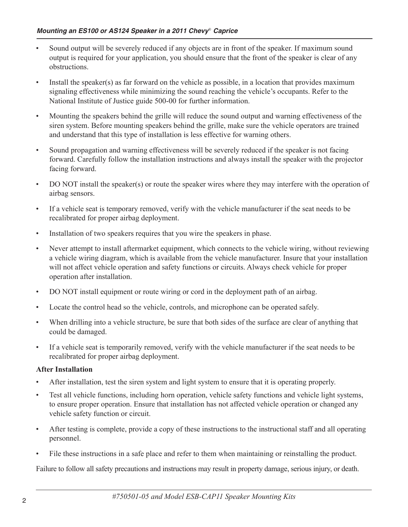- Sound output will be severely reduced if any objects are in front of the speaker. If maximum sound output is required for your application, you should ensure that the front of the speaker is clear of any obstructions.
- Install the speaker(s) as far forward on the vehicle as possible, in a location that provides maximum signaling effectiveness while minimizing the sound reaching the vehicle's occupants. Refer to the National Institute of Justice guide 500-00 for further information.
- Mounting the speakers behind the grille will reduce the sound output and warning effectiveness of the siren system. Before mounting speakers behind the grille, make sure the vehicle operators are trained and understand that this type of installation is less effective for warning others.
- Sound propagation and warning effectiveness will be severely reduced if the speaker is not facing forward. Carefully follow the installation instructions and always install the speaker with the projector facing forward.
- DO NOT install the speaker(s) or route the speaker wires where they may interfere with the operation of airbag sensors.
- • If a vehicle seat is temporary removed, verify with the vehicle manufacturer if the seat needs to be recalibrated for proper airbag deployment.
- Installation of two speakers requires that you wire the speakers in phase.
- Never attempt to install aftermarket equipment, which connects to the vehicle wiring, without reviewing a vehicle wiring diagram, which is available from the vehicle manufacturer. Insure that your installation will not affect vehicle operation and safety functions or circuits. Always check vehicle for proper operation after installation.
- DO NOT install equipment or route wiring or cord in the deployment path of an airbag.
- Locate the control head so the vehicle, controls, and microphone can be operated safely.
- When drilling into a vehicle structure, be sure that both sides of the surface are clear of anything that could be damaged.
- If a vehicle seat is temporarily removed, verify with the vehicle manufacturer if the seat needs to be recalibrated for proper airbag deployment.

#### **After Installation**

- After installation, test the siren system and light system to ensure that it is operating properly.
- Test all vehicle functions, including horn operation, vehicle safety functions and vehicle light systems, to ensure proper operation. Ensure that installation has not affected vehicle operation or changed any vehicle safety function or circuit.
- After testing is complete, provide a copy of these instructions to the instructional staff and all operating personnel.
- File these instructions in a safe place and refer to them when maintaining or reinstalling the product.

Failure to follow all safety precautions and instructions may result in property damage, serious injury, or death.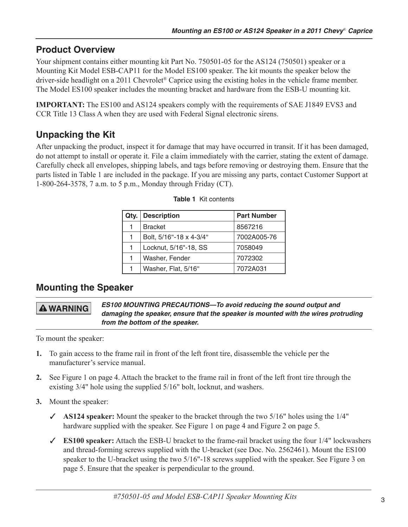## **Product Overview**

Your shipment contains either mounting kit Part No. 750501-05 for the AS124 (750501) speaker or a Mounting Kit Model ESB-CAP11 for the Model ES100 speaker. The kit mounts the speaker below the driver-side headlight on a 2011 Chevrolet® Caprice using the existing holes in the vehicle frame member. The Model ES100 speaker includes the mounting bracket and hardware from the ESB-U mounting kit.

**IMPORTANT:** The ES100 and AS124 speakers comply with the requirements of SAE J1849 EVS3 and CCR Title 13 Class A when they are used with Federal Signal electronic sirens.

# **Unpacking the Kit**

After unpacking the product, inspect it for damage that may have occurred in transit. If it has been damaged, do not attempt to install or operate it. File a claim immediately with the carrier, stating the extent of damage. Carefully check all envelopes, shipping labels, and tags before removing or destroying them. Ensure that the parts listed in Table 1 are included in the package. If you are missing any parts, contact Customer Support at 1-800-264-3578, 7 a.m. to 5 p.m., Monday through Friday (CT).

| Qty. | <b>Description</b>      | <b>Part Number</b> |
|------|-------------------------|--------------------|
|      | <b>Bracket</b>          | 8567216            |
|      | Bolt, 5/16"-18 x 4-3/4" | 7002A005-76        |
|      | Locknut, 5/16"-18, SS   | 7058049            |
|      | Washer, Fender          | 7072302            |
|      | Washer, Flat, 5/16"     | 7072A031           |

## **Mounting the Speaker**

**A WARNING** 

*ES100 MOUNTING PRECAUTIONS—To avoid reducing the sound output and damaging the speaker, ensure that the speaker is mounted with the wires protruding from the bottom of the speaker.*

To mount the speaker:

- **1.** To gain access to the frame rail in front of the left front tire, disassemble the vehicle per the manufacturer's service manual.
- **2.** See Figure 1 on page 4. Attach the bracket to the frame rail in front of the left front tire through the existing 3/4" hole using the supplied 5/16" bolt, locknut, and washers.
- **3.** Mount the speaker:
	- ✓ **AS124 speaker:** Mount the speaker to the bracket through the two 5/16" holes using the 1/4" hardware supplied with the speaker. See Figure 1 on page 4 and Figure 2 on page 5.
	- ✓ **ES100 speaker:** Attach the ESB-U bracket to the frame-rail bracket using the four 1/4" lockwashers and thread-forming screws supplied with the U-bracket (see Doc. No. 2562461). Mount the ES100 speaker to the U-bracket using the two 5/16"-18 screws supplied with the speaker. See Figure 3 on page 5. Ensure that the speaker is perpendicular to the ground.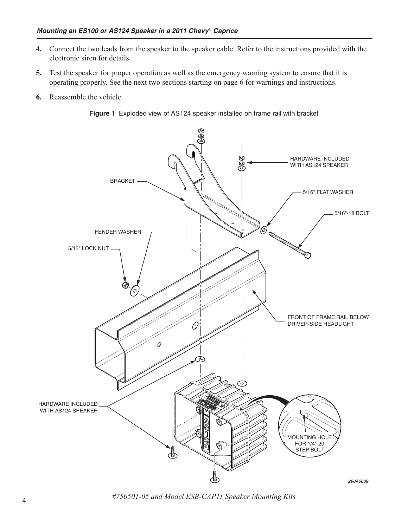- **4.** Connect the two leads from the speaker to the speaker cable. Refer to the instructions provided with the electronic siren for details.
- **5.** Test the speaker for proper operation as well as the emergency warning system to ensure that it is operating properly. See the next two sections starting on page 6 for warnings and instructions.
- **6.** Reassemble the vehicle.





<sup>4</sup> *#750501-05 and Model ESB-CAP11 Speaker Mounting Kits*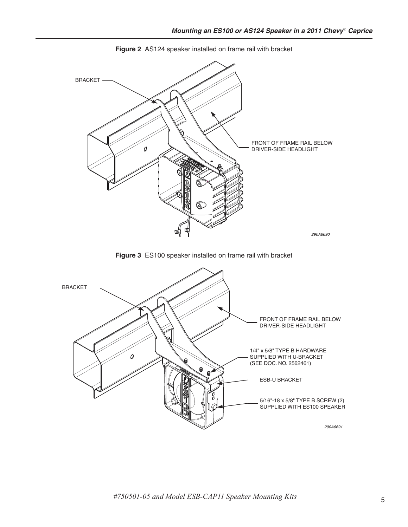

**Figure 2** AS124 speaker installed on frame rail with bracket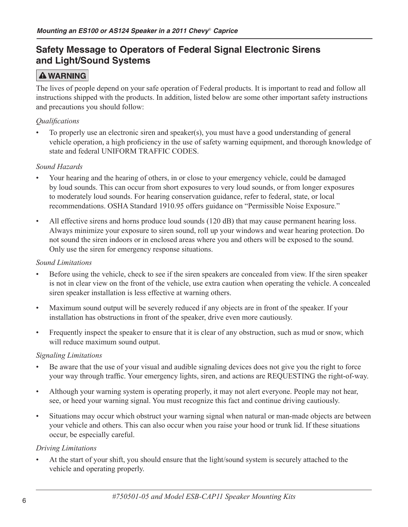## **Safety Message to Operators of Federal Signal Electronic Sirens and Light/Sound Systems**

## **A WARNING**

The lives of people depend on your safe operation of Federal products. It is important to read and follow all instructions shipped with the products. In addition, listed below are some other important safety instructions and precautions you should follow:

### *Qualifications*

To properly use an electronic siren and speaker(s), you must have a good understanding of general vehicle operation, a high proficiency in the use of safety warning equipment, and thorough knowledge of state and federal UNIFORM TRAFFIC CODES.

### *Sound Hazards*

- Your hearing and the hearing of others, in or close to your emergency vehicle, could be damaged by loud sounds. This can occur from short exposures to very loud sounds, or from longer exposures to moderately loud sounds. For hearing conservation guidance, refer to federal, state, or local recommendations. OSHA Standard 1910.95 offers guidance on "Permissible Noise Exposure."
- All effective sirens and horns produce loud sounds (120 dB) that may cause permanent hearing loss. Always minimize your exposure to siren sound, roll up your windows and wear hearing protection. Do not sound the siren indoors or in enclosed areas where you and others will be exposed to the sound. Only use the siren for emergency response situations.

#### *Sound Limitations*

- Before using the vehicle, check to see if the siren speakers are concealed from view. If the siren speaker is not in clear view on the front of the vehicle, use extra caution when operating the vehicle. A concealed siren speaker installation is less effective at warning others.
- Maximum sound output will be severely reduced if any objects are in front of the speaker. If your installation has obstructions in front of the speaker, drive even more cautiously.
- Frequently inspect the speaker to ensure that it is clear of any obstruction, such as mud or snow, which will reduce maximum sound output.

#### *Signaling Limitations*

- Be aware that the use of your visual and audible signaling devices does not give you the right to force your way through traffic. Your emergency lights, siren, and actions are REQUESTING the right-of-way.
- • Although your warning system is operating properly, it may not alert everyone. People may not hear, see, or heed your warning signal. You must recognize this fact and continue driving cautiously.
- Situations may occur which obstruct your warning signal when natural or man-made objects are between your vehicle and others. This can also occur when you raise your hood or trunk lid. If these situations occur, be especially careful.

#### *Driving Limitations*

At the start of your shift, you should ensure that the light/sound system is securely attached to the vehicle and operating properly.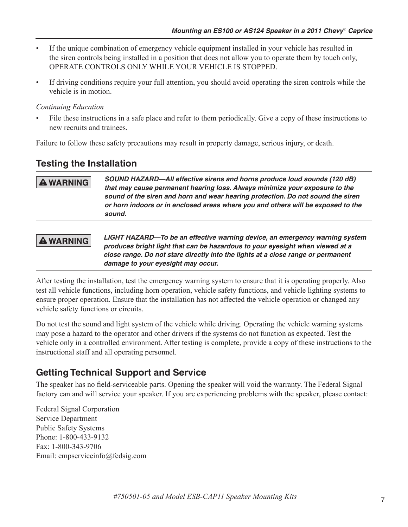- If the unique combination of emergency vehicle equipment installed in your vehicle has resulted in the siren controls being installed in a position that does not allow you to operate them by touch only, OPERATE CONTROLS ONLY WHILE YOUR VEHICLE IS STOPPED.
- • If driving conditions require your full attention, you should avoid operating the siren controls while the vehicle is in motion.

### *Continuing Education*

File these instructions in a safe place and refer to them periodically. Give a copy of these instructions to new recruits and trainees.

Failure to follow these safety precautions may result in property damage, serious injury, or death.

## **Testing the Installation**

### **A WARNING**

*SOUND HAZARD—All effective sirens and horns produce loud sounds (120 dB) that may cause permanent hearing loss. Always minimize your exposure to the sound of the siren and horn and wear hearing protection. Do not sound the siren or horn indoors or in enclosed areas where you and others will be exposed to the sound.*

# **A WARNING**

*LIGHT HAZARD—To be an effective warning device, an emergency warning system produces bright light that can be hazardous to your eyesight when viewed at a close range. Do not stare directly into the lights at a close range or permanent damage to your eyesight may occur.*

After testing the installation, test the emergency warning system to ensure that it is operating properly. Also test all vehicle functions, including horn operation, vehicle safety functions, and vehicle lighting systems to ensure proper operation. Ensure that the installation has not affected the vehicle operation or changed any vehicle safety functions or circuits.

Do not test the sound and light system of the vehicle while driving. Operating the vehicle warning systems may pose a hazard to the operator and other drivers if the systems do not function as expected. Test the vehicle only in a controlled environment. After testing is complete, provide a copy of these instructions to the instructional staff and all operating personnel.

# **Getting Technical Support and Service**

The speaker has no field-serviceable parts. Opening the speaker will void the warranty. The Federal Signal factory can and will service your speaker. If you are experiencing problems with the speaker, please contact:

Federal Signal Corporation Service Department Public Safety Systems Phone: 1-800-433-9132 Fax: 1-800-343-9706 Email: empserviceinfo@fedsig.com